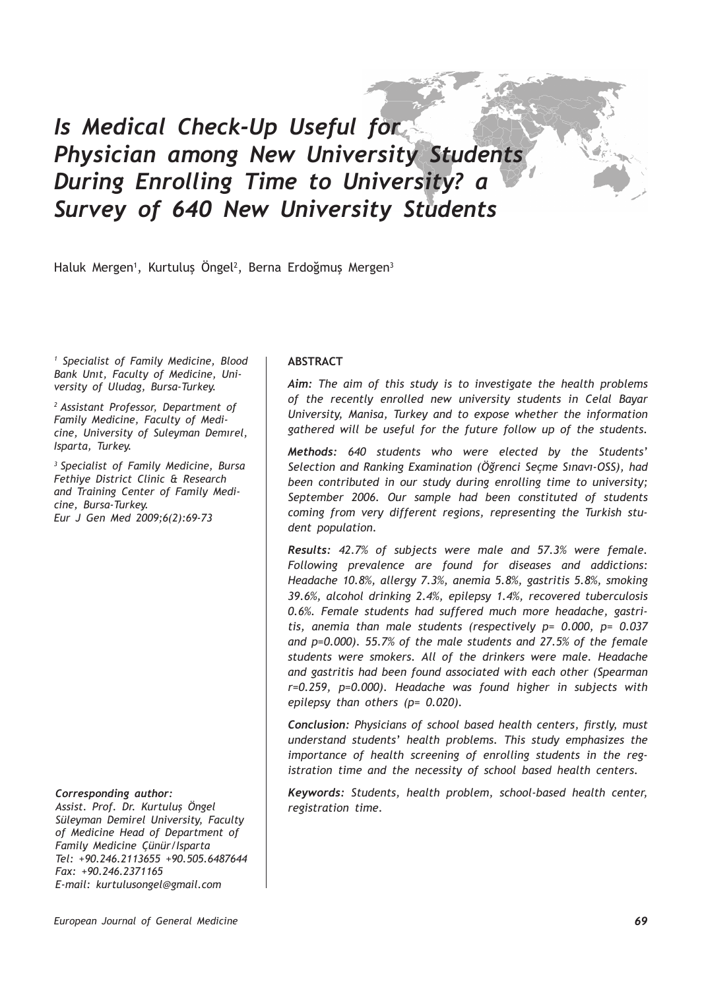# *Is Medical Check-Up Useful for Physician among New University Students During Enrolling Time to University? a Survey of 640 New University Students*

Haluk Mergen<sup>1</sup>, Kurtuluş Ongel<sup>2</sup>, Berna Erdoğmuş Mergen<sup>3</sup>

*1 Specialist of Family Medicine, Blood Bank Unıt, Faculty of Medicine, University of Uludag, Bursa-Turkey.* 

*2 Assistant Professor, Department of Family Medicine, Faculty of Medicine, University of Suleyman Demırel, Isparta, Turkey.*

*3 Specialist of Family Medicine, Bursa Fethiye District Clinic & Research and Training Center of Family Medicine, Bursa-Turkey. Eur J Gen Med 2009;6(2):69-73*

#### *Corresponding author:*

*Assist. Prof. Dr. Kurtuluş Öngel Süleyman Demirel University, Faculty of Medicine Head of Department of Family Medicine Çünür/Isparta Tel: +90.246.2113655 +90.505.6487644 Fax: +90.246.2371165 E-mail: kurtulusongel@gmail.com*

#### **ABSTRACT**

*Aim: The aim of this study is to investigate the health problems of the recently enrolled new university students in Celal Bayar University, Manisa, Turkey and to expose whether the information gathered will be useful for the future follow up of the students.*

*Methods: 640 students who were elected by the Students' Selection and Ranking Examination (Öğrenci Seçme Sınavı-OSS), had been contributed in our study during enrolling time to university; September 2006. Our sample had been constituted of students coming from very different regions, representing the Turkish student population.* 

*Results: 42.7% of subjects were male and 57.3% were female. Following prevalence are found for diseases and addictions: Headache 10.8%, allergy 7.3%, anemia 5.8%, gastritis 5.8%, smoking 39.6%, alcohol drinking 2.4%, epilepsy 1.4%, recovered tuberculosis 0.6%. Female students had suffered much more headache, gastritis, anemia than male students (respectively p= 0.000, p= 0.037 and p=0.000). 55.7% of the male students and 27.5% of the female students were smokers. All of the drinkers were male. Headache and gastritis had been found associated with each other (Spearman r=0.259, p=0.000). Headache was found higher in subjects with epilepsy than others (p= 0.020).*

*Conclusion: Physicians of school based health centers, firstly, must understand students' health problems. This study emphasizes the importance of health screening of enrolling students in the registration time and the necessity of school based health centers.*

*Keywords: Students, health problem, school-based health center, registration time.*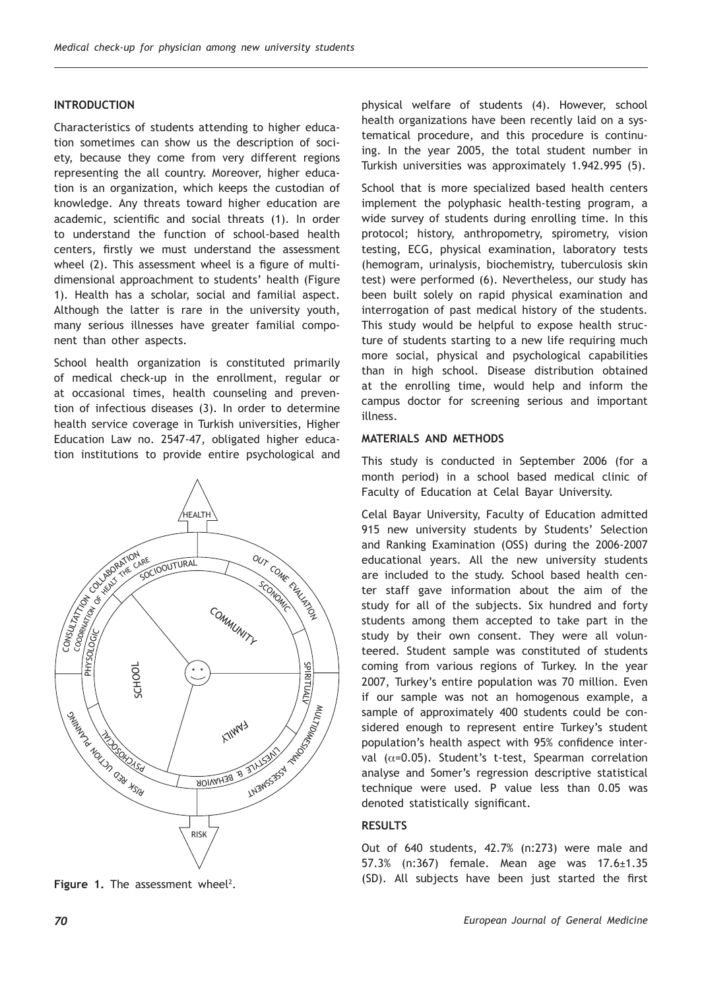#### **INTRODUCTION**

Characteristics of students attending to higher education sometimes can show us the description of society, because they come from very different regions representing the all country. Moreover, higher education is an organization, which keeps the custodian of knowledge. Any threats toward higher education are academic, scientific and social threats (1). In order to understand the function of school-based health centers, firstly we must understand the assessment wheel (2). This assessment wheel is a figure of multidimensional approachment to students' health (Figure 1). Health has a scholar, social and familial aspect. Although the latter is rare in the university youth, many serious illnesses have greater familial component than other aspects.

School health organization is constituted primarily of medical check-up in the enrollment, regular or at occasional times, health counseling and prevention of infectious diseases (3). In order to determine health service coverage in Turkish universities, Higher Education Law no. 2547-47, obligated higher education institutions to provide entire psychological and



**Figure 1.** The assessment wheel<sup>2</sup>.

physical welfare of students (4). However, school health organizations have been recently laid on a systematical procedure, and this procedure is continuing. In the year 2005, the total student number in Turkish universities was approximately 1.942.995 (5).

School that is more specialized based health centers implement the polyphasic health-testing program, a wide survey of students during enrolling time. In this protocol; history, anthropometry, spirometry, vision testing, ECG, physical examination, laboratory tests (hemogram, urinalysis, biochemistry, tuberculosis skin test) were performed (6). Nevertheless, our study has been built solely on rapid physical examination and interrogation of past medical history of the students. This study would be helpful to expose health structure of students starting to a new life requiring much more social, physical and psychological capabilities than in high school. Disease distribution obtained at the enrolling time, would help and inform the campus doctor for screening serious and important illness.

#### **MATERIALS AND METHODS**

This study is conducted in September 2006 (for a month period) in a school based medical clinic of Faculty of Education at Celal Bayar University.

Celal Bayar University, Faculty of Education admitted 915 new university students by Students' Selection and Ranking Examination (OSS) during the 2006-2007 educational years. All the new university students are included to the study. School based health center staff gave information about the aim of the study for all of the subjects. Six hundred and forty students among them accepted to take part in the study by their own consent. They were all volunteered. Student sample was constituted of students coming from various regions of Turkey. In the year 2007, Turkey's entire population was 70 million. Even if our sample was not an homogenous example, a sample of approximately 400 students could be considered enough to represent entire Turkey's student population's health aspect with 95% confidence interval ( $\alpha$ =0.05). Student's t-test, Spearman correlation analyse and Somer's regression descriptive statistical technique were used. P value less than 0.05 was denoted statistically significant.

#### **RESULTS**

Out of 640 students, 42.7% (n:273) were male and 57.3% (n:367) female. Mean age was 17.6±1.35 (SD). All subjects have been just started the first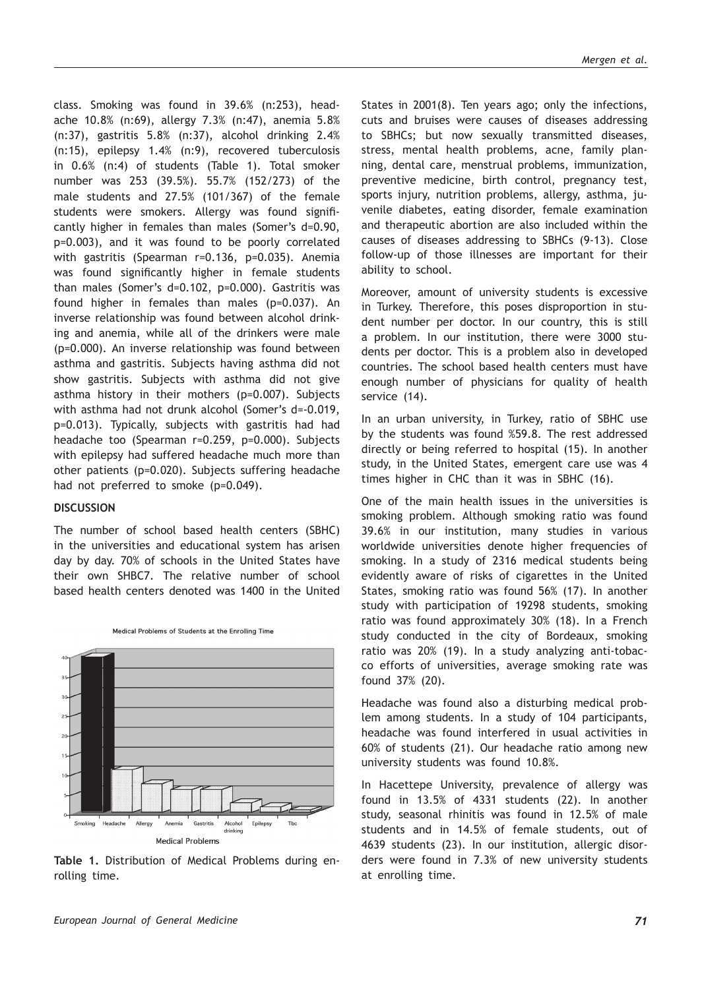class. Smoking was found in 39.6% (n:253), headache 10.8% (n:69), allergy 7.3% (n:47), anemia 5.8% (n:37), gastritis 5.8% (n:37), alcohol drinking 2.4% (n:15), epilepsy 1.4% (n:9), recovered tuberculosis in 0.6% (n:4) of students (Table 1). Total smoker number was 253 (39.5%). 55.7% (152/273) of the male students and 27.5% (101/367) of the female students were smokers. Allergy was found significantly higher in females than males (Somer's d=0.90, p=0.003), and it was found to be poorly correlated with gastritis (Spearman r=0.136, p=0.035). Anemia was found significantly higher in female students than males (Somer's d=0.102, p=0.000). Gastritis was found higher in females than males (p=0.037). An inverse relationship was found between alcohol drinking and anemia, while all of the drinkers were male (p=0.000). An inverse relationship was found between asthma and gastritis. Subjects having asthma did not show gastritis. Subjects with asthma did not give asthma history in their mothers (p=0.007). Subjects with asthma had not drunk alcohol (Somer's d=-0.019, p=0.013). Typically, subjects with gastritis had had headache too (Spearman r=0.259, p=0.000). Subjects with epilepsy had suffered headache much more than other patients (p=0.020). Subjects suffering headache had not preferred to smoke (p=0.049).

#### **DISCUSSION**

The number of school based health centers (SBHC) in the universities and educational system has arisen day by day. 70% of schools in the United States have their own SHBC7. The relative number of school based health centers denoted was 1400 in the United



Medical Problems of Students at the Enrolling Time

**Table 1.** Distribution of Medical Problems during enrolling time.

States in 2001(8). Ten years ago; only the infections, cuts and bruises were causes of diseases addressing to SBHCs; but now sexually transmitted diseases, stress, mental health problems, acne, family planning, dental care, menstrual problems, immunization, preventive medicine, birth control, pregnancy test, sports injury, nutrition problems, allergy, asthma, juvenile diabetes, eating disorder, female examination and therapeutic abortion are also included within the causes of diseases addressing to SBHCs (9-13). Close follow-up of those illnesses are important for their ability to school.

Moreover, amount of university students is excessive in Turkey. Therefore, this poses disproportion in student number per doctor. In our country, this is still a problem. In our institution, there were 3000 students per doctor. This is a problem also in developed countries. The school based health centers must have enough number of physicians for quality of health service (14).

In an urban university, in Turkey, ratio of SBHC use by the students was found %59.8. The rest addressed directly or being referred to hospital (15). In another study, in the United States, emergent care use was 4 times higher in CHC than it was in SBHC (16).

One of the main health issues in the universities is smoking problem. Although smoking ratio was found 39.6% in our institution, many studies in various worldwide universities denote higher frequencies of smoking. In a study of 2316 medical students being evidently aware of risks of cigarettes in the United States, smoking ratio was found 56% (17). In another study with participation of 19298 students, smoking ratio was found approximately 30% (18). In a French study conducted in the city of Bordeaux, smoking ratio was 20% (19). In a study analyzing anti-tobacco efforts of universities, average smoking rate was found 37% (20).

Headache was found also a disturbing medical problem among students. In a study of 104 participants, headache was found interfered in usual activities in 60% of students (21). Our headache ratio among new university students was found 10.8%.

In Hacettepe University, prevalence of allergy was found in 13.5% of 4331 students (22). In another study, seasonal rhinitis was found in 12.5% of male students and in 14.5% of female students, out of 4639 students (23). In our institution, allergic disorders were found in 7.3% of new university students at enrolling time.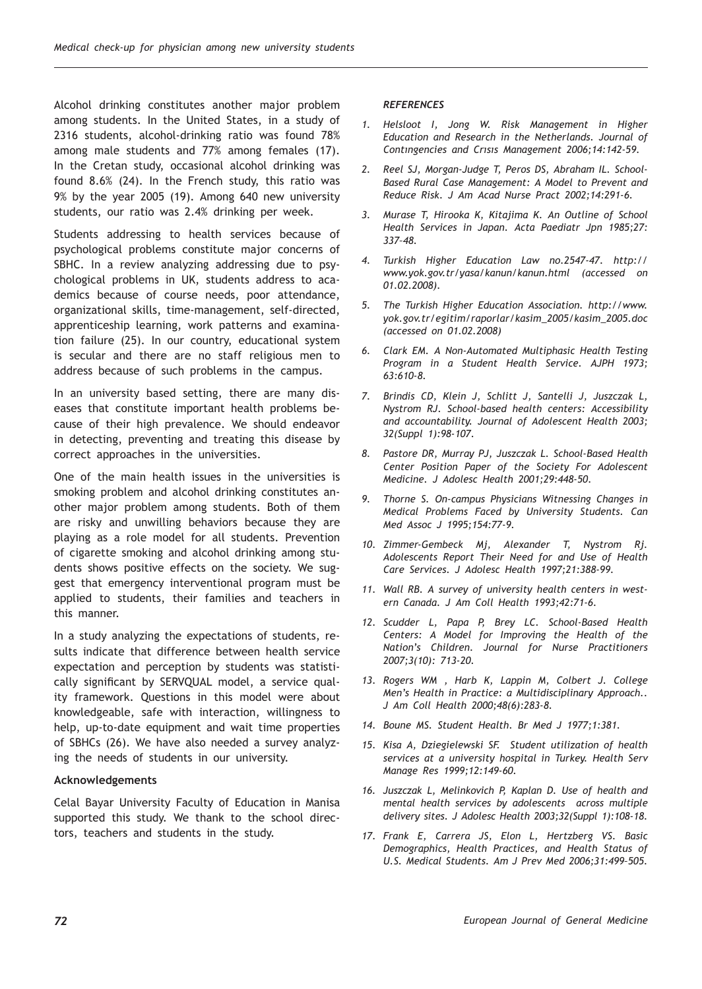Alcohol drinking constitutes another major problem among students. In the United States, in a study of 2316 students, alcohol-drinking ratio was found 78% among male students and 77% among females (17). In the Cretan study, occasional alcohol drinking was found 8.6% (24). In the French study, this ratio was 9% by the year 2005 (19). Among 640 new university students, our ratio was 2.4% drinking per week.

Students addressing to health services because of psychological problems constitute major concerns of SBHC. In a review analyzing addressing due to psychological problems in UK, students address to academics because of course needs, poor attendance, organizational skills, time-management, self-directed, apprenticeship learning, work patterns and examination failure (25). In our country, educational system is secular and there are no staff religious men to address because of such problems in the campus.

In an university based setting, there are many diseases that constitute important health problems because of their high prevalence. We should endeavor in detecting, preventing and treating this disease by correct approaches in the universities.

One of the main health issues in the universities is smoking problem and alcohol drinking constitutes another major problem among students. Both of them are risky and unwilling behaviors because they are playing as a role model for all students. Prevention of cigarette smoking and alcohol drinking among students shows positive effects on the society. We suggest that emergency interventional program must be applied to students, their families and teachers in this manner.

In a study analyzing the expectations of students, results indicate that difference between health service expectation and perception by students was statistically significant by SERVQUAL model, a service quality framework. Questions in this model were about knowledgeable, safe with interaction, willingness to help, up-to-date equipment and wait time properties of SBHCs (26). We have also needed a survey analyzing the needs of students in our university.

## **Acknowledgements**

Celal Bayar University Faculty of Education in Manisa supported this study. We thank to the school directors, teachers and students in the study.

### *REFERENCES*

- *1. Helsloot I, Jong W. Risk Management in Higher Education and Research in the Netherlands. Journal of Contıngencies and Crısıs Management 2006;14:142-59.*
- *2. Reel SJ, Morgan-Judge T, Peros DS, Abraham IL. School-Based Rural Case Management: A Model to Prevent and Reduce Risk. J Am Acad Nurse Pract 2002;14:291-6.*
- *3. Murase T, Hirooka K, Kitajima K. An Outline of School Health Services in Japan. Acta Paediatr Jpn 1985;27: 337–48.*
- *4. Turkish Higher Education Law no.2547-47. http:// www.yok.gov.tr/yasa/kanun/kanun.html (accessed on 01.02.2008).*
- *5. The Turkish Higher Education Association. http://www. yok.gov.tr/egitim/raporlar/kasim\_2005/kasim\_2005.doc (accessed on 01.02.2008)*
- *6. Clark EM. A Non-Automated Multiphasic Health Testing Program in a Student Health Service. AJPH 1973; 63:610-8.*
- *7. Brindis CD, Klein J, Schlitt J, Santelli J, Juszczak L, Nystrom RJ. School-based health centers: Accessibility and accountability. Journal of Adolescent Health 2003; 32(Suppl 1):98-107.*
- *8. Pastore DR, Murray PJ, Juszczak L. School-Based Health Center Position Paper of the Society For Adolescent Medicine. J Adolesc Health 2001;29:448-50.*
- *9. Thorne S. On-campus Physicians Witnessing Changes in Medical Problems Faced by University Students. Can Med Assoc J 1995;154:77-9.*
- *10. Zimmer-Gembeck Mj, Alexander T, Nystrom Rj. Adolescents Report Their Need for and Use of Health Care Services. J Adolesc Health 1997;21:388-99.*
- *11. Wall RB. A survey of university health centers in western Canada. J Am Coll Health 1993;42:71-6.*
- *12. Scudder L, Papa P, Brey LC. School-Based Health Centers: A Model for Improving the Health of the Nation's Children. Journal for Nurse Practitioners 2007;3(10): 713-20.*
- *13. Rogers WM , Harb K, Lappin M, Colbert J. College Men's Health in Practice: a Multidisciplinary Approach.. J Am Coll Health 2000;48(6):283-8.*
- *14. Boune MS. Student Health. Br Med J 1977;1:381.*
- *15. Kisa A, Dziegielewski SF. Student utilization of health services at a university hospital in Turkey. Health Serv Manage Res 1999;12:149-60.*
- *16. Juszczak L, Melinkovich P, Kaplan D. Use of health and mental health services by adolescents across multiple delivery sites. J Adolesc Health 2003;32(Suppl 1):108-18.*
- *17. Frank E, Carrera JS, Elon L, Hertzberg VS. Basic Demographics, Health Practices, and Health Status of U.S. Medical Students. Am J Prev Med 2006;31:499–505.*